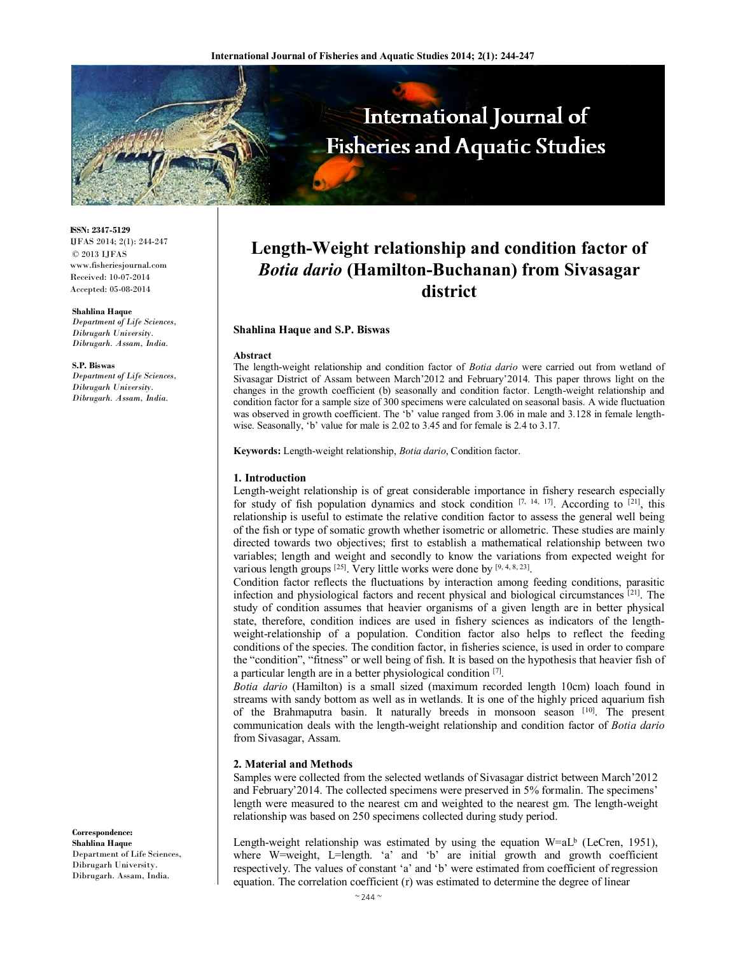

**ISSN: 2347-5129** IJFAS 2014; 2(1): 244-247 © 2013 IJFAS www.fisheriesjournal.com Received: 10-07-2014 Accepted: 05-08-2014

#### **Shahlina Haque**

*Department of Life Sciences, Dibrugarh University. Dibrugarh. Assam, India.* 

#### **S.P. Biswas**

*Department of Life Sciences, Dibrugarh University. Dibrugarh. Assam, India.* 

### **Correspondence: Shahlina Haque**

Department of Life Sciences, Dibrugarh University. Dibrugarh. Assam, India.

# **Length-Weight relationship and condition factor of**  *Botia dario* **(Hamilton-Buchanan) from Sivasagar district**

## **Shahlina Haque and S.P. Biswas**

#### **Abstract**

The length-weight relationship and condition factor of *Botia dario* were carried out from wetland of Sivasagar District of Assam between March'2012 and February'2014. This paper throws light on the changes in the growth coefficient (b) seasonally and condition factor. Length-weight relationship and condition factor for a sample size of 300 specimens were calculated on seasonal basis. A wide fluctuation was observed in growth coefficient. The 'b' value ranged from 3.06 in male and 3.128 in female lengthwise. Seasonally, 'b' value for male is 2.02 to 3.45 and for female is 2.4 to 3.17.

**Keywords:** Length-weight relationship, *Botia dario*, Condition factor.

## **1. Introduction**

Length-weight relationship is of great considerable importance in fishery research especially for study of fish population dynamics and stock condition  $[7, 14, 17]$ . According to  $[21]$ , this relationship is useful to estimate the relative condition factor to assess the general well being of the fish or type of somatic growth whether isometric or allometric. These studies are mainly directed towards two objectives; first to establish a mathematical relationship between two variables; length and weight and secondly to know the variations from expected weight for various length groups  $[25]$ . Very little works were done by  $[9, 4, 8, 23]$ .

Condition factor reflects the fluctuations by interaction among feeding conditions, parasitic infection and physiological factors and recent physical and biological circumstances [21]. The study of condition assumes that heavier organisms of a given length are in better physical state, therefore, condition indices are used in fishery sciences as indicators of the lengthweight-relationship of a population. Condition factor also helps to reflect the feeding conditions of the species. The condition factor, in fisheries science, is used in order to compare the "condition", "fitness" or well being of fish. It is based on the hypothesis that heavier fish of a particular length are in a better physiological condition [7] .

*Botia dario* (Hamilton) is a small sized (maximum recorded length 10cm) loach found in streams with sandy bottom as well as in wetlands. It is one of the highly priced aquarium fish of the Brahmaputra basin. It naturally breeds in monsoon season [10]. The present communication deals with the length-weight relationship and condition factor of *Botia dario* from Sivasagar, Assam.

## **2. Material and Methods**

Samples were collected from the selected wetlands of Sivasagar district between March'2012 and February'2014. The collected specimens were preserved in 5% formalin. The specimens' length were measured to the nearest cm and weighted to the nearest gm. The length-weight relationship was based on 250 specimens collected during study period.

Length-weight relationship was estimated by using the equation  $W=AL^b$  (LeCren, 1951), where W=weight, L=length. 'a' and 'b' are initial growth and growth coefficient respectively. The values of constant 'a' and 'b' were estimated from coefficient of regression equation. The correlation coefficient (r) was estimated to determine the degree of linear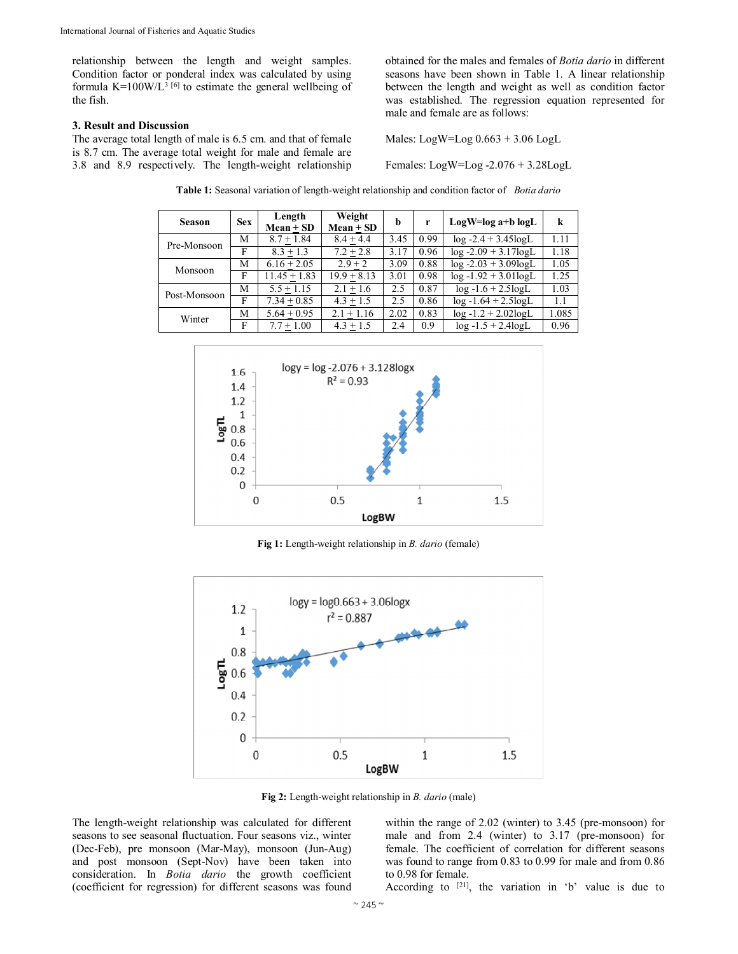relationship between the length and weight samples. Condition factor or ponderal index was calculated by using formula  $K=100W/L^{3}$  [6] to estimate the general wellbeing of the fish.

## **3. Result and Discussion**

The average total length of male is 6.5 cm. and that of female is 8.7 cm. The average total weight for male and female are 3.8 and 8.9 respectively. The length-weight relationship obtained for the males and females of *Botia dario* in different seasons have been shown in Table 1. A linear relationship between the length and weight as well as condition factor was established. The regression equation represented for male and female are as follows:

Males: LogW=Log 0.663 + 3.06 LogL

Females: LogW=Log -2.076 + 3.28LogL

| <b>Season</b> | <b>Sex</b> | Length<br>$Mean + SD$ | Weight<br>$Mean + SD$ | b    | r    | LogW=log a+b logL       | k     |
|---------------|------------|-----------------------|-----------------------|------|------|-------------------------|-------|
| Pre-Monsoon   | M          | $8.7 + 1.84$          | $8.4 + 4.4$           | 3.45 | 0.99 | $log -2.4 + 3.45logL$   | 1.11  |
|               | F          | $8.3 + 1.3$           | $7.2 + 2.8$           | 3.17 | 0.96 | $log -2.09 + 3.17logL$  | 1.18  |
| Monsoon       | M          | $6.16 + 2.05$         | $2.9 + 2$             | 3.09 | 0.88 | $log -2.03 + 3.09logL$  | 1.05  |
|               | F          | $11.45 + 1.83$        | $19.9 + 8.13$         | 3.01 | 0.98 | $log -1.92 + 3.01logL$  | 1.25  |
| Post-Monsoon  | M          | $5.5 + 1.15$          | $2.1 + 1.6$           | 2.5  | 0.87 | $log -1.6 + 2.5logL$    | 1.03  |
|               | F          | $7.34 + 0.85$         | $4.3 + 1.5$           | 2.5  | 0.86 | $log -1.64 + 2.5logL$   | 1.1   |
| Winter        | M          | $5.64 + 0.95$         | $2.1 + 1.16$          | 2.02 | 0.83 | $log -1.2 + 2.02 log L$ | 1.085 |
|               | F          | $7.7 + 1.00$          | $4.3 + 1.5$           | 2.4  | 0.9  | $log -1.5 + 2.4 log L$  | 0.96  |

**Table 1:** Seasonal variation of length-weight relationship and condition factor of *Botia dario*



**Fig 1:** Length-weight relationship in *B. dario* (female)



**Fig 2:** Length-weight relationship in *B. dario* (male)

The length-weight relationship was calculated for different seasons to see seasonal fluctuation. Four seasons viz., winter (Dec-Feb), pre monsoon (Mar-May), monsoon (Jun-Aug) and post monsoon (Sept-Nov) have been taken into consideration. In *Botia dario* the growth coefficient (coefficient for regression) for different seasons was found

within the range of 2.02 (winter) to 3.45 (pre-monsoon) for male and from 2.4 (winter) to 3.17 (pre-monsoon) for female. The coefficient of correlation for different seasons was found to range from 0.83 to 0.99 for male and from 0.86 to 0.98 for female.

According to  $[21]$ , the variation in 'b' value is due to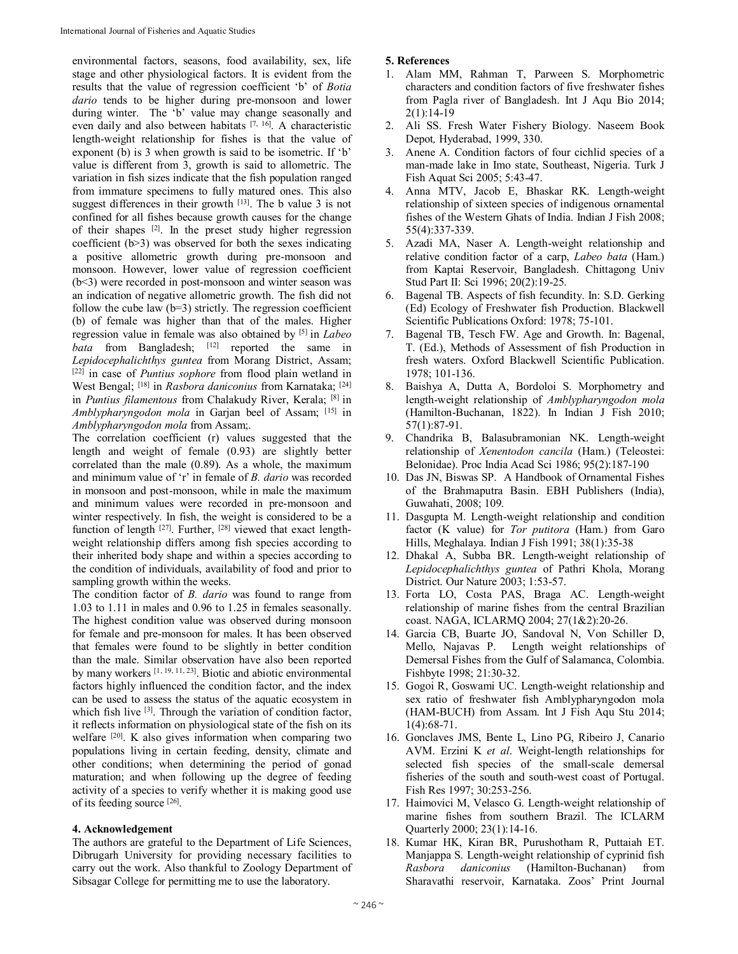environmental factors, seasons, food availability, sex, life stage and other physiological factors. It is evident from the results that the value of regression coefficient 'b' of *Botia dario* tends to be higher during pre-monsoon and lower during winter. The 'b' value may change seasonally and even daily and also between habitats <sup>[7, 16]</sup>. A characteristic length-weight relationship for fishes is that the value of exponent (b) is 3 when growth is said to be isometric. If 'b' value is different from 3, growth is said to allometric. The variation in fish sizes indicate that the fish population ranged from immature specimens to fully matured ones. This also suggest differences in their growth  $[13]$ . The b value 3 is not confined for all fishes because growth causes for the change of their shapes [2] . In the preset study higher regression coefficient (b>3) was observed for both the sexes indicating a positive allometric growth during pre-monsoon and monsoon. However, lower value of regression coefficient (b<3) were recorded in post-monsoon and winter season was an indication of negative allometric growth. The fish did not follow the cube law  $(b=3)$  strictly. The regression coefficient (b) of female was higher than that of the males. Higher regression value in female was also obtained by [5] in *Labeo*  bata from Bangladesh; <sup>[12]</sup> reported the same in *Lepidocephalichthys guntea* from Morang District, Assam; [22] in case of *Puntius sophore* from flood plain wetland in West Bengal; [18] in *Rasbora daniconius* from Karnataka; [24] in *Puntius filamentous* from Chalakudy River, Kerala; [8] in *Amblypharyngodon mola* in Garjan beel of Assam; [15] in *Amblypharyngodon mola* from Assam;.

The correlation coefficient (r) values suggested that the length and weight of female (0.93) are slightly better correlated than the male (0.89). As a whole, the maximum and minimum value of 'r' in female of *B. dario* was recorded in monsoon and post-monsoon, while in male the maximum and minimum values were recorded in pre-monsoon and winter respectively. In fish, the weight is considered to be a function of length <sup>[27]</sup>. Further, <sup>[28]</sup> viewed that exact lengthweight relationship differs among fish species according to their inherited body shape and within a species according to the condition of individuals, availability of food and prior to sampling growth within the weeks.

The condition factor of *B. dario* was found to range from 1.03 to 1.11 in males and 0.96 to 1.25 in females seasonally. The highest condition value was observed during monsoon for female and pre-monsoon for males. It has been observed that females were found to be slightly in better condition than the male. Similar observation have also been reported by many workers [1, 19, 11, 23]. Biotic and abiotic environmental factors highly influenced the condition factor, and the index can be used to assess the status of the aquatic ecosystem in which fish live <sup>[3]</sup>. Through the variation of condition factor, it reflects information on physiological state of the fish on its welfare <sup>[20]</sup>. K also gives information when comparing two populations living in certain feeding, density, climate and other conditions; when determining the period of gonad maturation; and when following up the degree of feeding activity of a species to verify whether it is making good use of its feeding source [26] .

# **4. Acknowledgement**

The authors are grateful to the Department of Life Sciences, Dibrugarh University for providing necessary facilities to carry out the work. Also thankful to Zoology Department of Sibsagar College for permitting me to use the laboratory.

# **5. References**

- 1. Alam MM, Rahman T, Parween S. Morphometric characters and condition factors of five freshwater fishes from Pagla river of Bangladesh. Int J Aqu Bio 2014; 2(1):14-19
- 2. Ali SS. Fresh Water Fishery Biology. Naseem Book Depot*,* Hyderabad, 1999, 330.
- 3. Anene A. Condition factors of four cichlid species of a man-made lake in Imo state, Southeast, Nigeria. Turk J Fish Aquat Sci 2005; 5:43-47.
- 4. Anna MTV, Jacob E, Bhaskar RK. Length-weight relationship of sixteen species of indigenous ornamental fishes of the Western Ghats of India. Indian J Fish 2008; 55(4):337-339.
- 5. Azadi MA, Naser A. Length-weight relationship and relative condition factor of a carp, *Labeo bata* (Ham.) from Kaptai Reservoir, Bangladesh. Chittagong Univ Stud Part II: Sci 1996; 20(2):19-25.
- 6. Bagenal TB. Aspects of fish fecundity. In: S.D. Gerking (Ed) Ecology of Freshwater fish Production. Blackwell Scientific Publications Oxford: 1978; 75-101.
- 7. Bagenal TB, Tesch FW. Age and Growth. In: Bagenal, T. (Ed.), Methods of Assessment of fish Production in fresh waters. Oxford Blackwell Scientific Publication. 1978; 101-136.
- 8. Baishya A, Dutta A, Bordoloi S. Morphometry and length-weight relationship of *Amblypharyngodon mola* (Hamilton-Buchanan, 1822). In Indian J Fish 2010; 57(1):87-91.
- 9. Chandrika B, Balasubramonian NK. Length-weight relationship of *Xenentodon cancila* (Ham.) (Teleostei: Belonidae). Proc India Acad Sci 1986; 95(2):187-190
- 10. Das JN, Biswas SP. A Handbook of Ornamental Fishes of the Brahmaputra Basin. EBH Publishers (India), Guwahati, 2008; 109.
- 11. Dasgupta M. Length-weight relationship and condition factor (K value) for *Tor putitora* (Ham.) from Garo Hills, Meghalaya. Indian J Fish 1991; 38(1):35-38
- 12. Dhakal A, Subba BR. Length-weight relationship of *Lepidocephalichthys guntea* of Pathri Khola, Morang District. Our Nature 2003; 1:53-57.
- 13. Forta LO, Costa PAS, Braga AC. Length-weight relationship of marine fishes from the central Brazilian coast. NAGA, ICLARMQ 2004; 27(1&2):20-26.
- 14. Garcia CB, Buarte JO, Sandoval N, Von Schiller D, Mello, Najavas P. Length weight relationships of Demersal Fishes from the Gulf of Salamanca, Colombia. Fishbyte 1998; 21:30-32.
- 15. Gogoi R, Goswami UC. Length-weight relationship and sex ratio of freshwater fish Amblypharyngodon mola (HAM-BUCH) from Assam. Int J Fish Aqu Stu 2014; 1(4):68-71.
- 16. Gonclaves JMS, Bente L, Lino PG, Ribeiro J, Canario AVM. Erzini K *et al*. Weight-length relationships for selected fish species of the small-scale demersal fisheries of the south and south-west coast of Portugal. Fish Res 1997; 30:253-256.
- 17. Haimovici M, Velasco G. Length-weight relationship of marine fishes from southern Brazil. The ICLARM Quarterly 2000; 23(1):14-16.
- 18. Kumar HK, Kiran BR, Purushotham R, Puttaiah ET. Manjappa S. Length-weight relationship of cyprinid fish *Rasbora daniconius* (Hamilton-Buchanan) from Sharavathi reservoir, Karnataka. Zoos' Print Journal